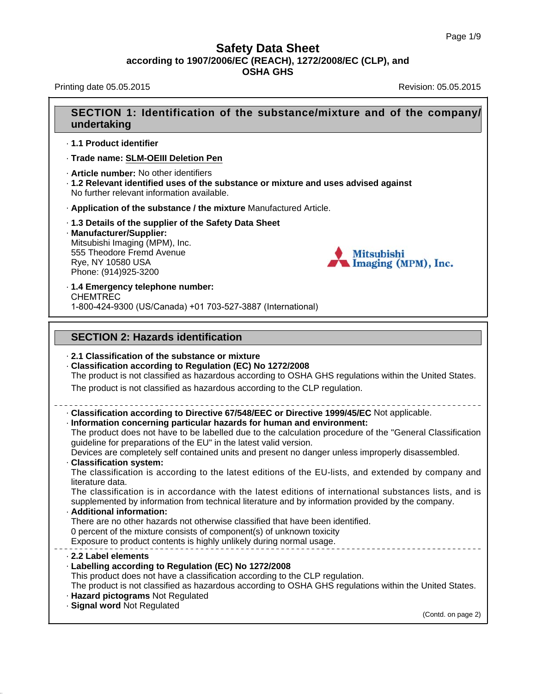Printing date 05.05.2015 **Revision: 05.05.2015** Revision: 05.05.2015

## **SECTION 1: Identification of the substance/mixture and of the company/ undertaking** · **1.1 Product identifier** · **Trade name: SLM-OEIII Deletion Pen** · **Article number:** No other identifiers · **1.2 Relevant identified uses of the substance or mixture and uses advised against** No further relevant information available. · **Application of the substance / the mixture** Manufactured Article. · **1.3 Details of the supplier of the Safety Data Sheet** · **Manufacturer/Supplier:** Mitsubishi Imaging (MPM), Inc. 555 Theodore Fremd Avenue **Mitsubishi** Rye, NY 10580 USA Imaging (MPM), Inc. Phone: (914)925-3200 · **1.4 Emergency telephone number:** CHEMTREC 1-800-424-9300 (US/Canada) +01 703-527-3887 (International) **SECTION 2: Hazards identification** · **2.1 Classification of the substance or mixture** · **Classification according to Regulation (EC) No 1272/2008** The product is not classified as hazardous according to OSHA GHS regulations within the United States. The product is not classified as hazardous according to the CLP regulation. · **Classification according to Directive 67/548/EEC or Directive 1999/45/EC** Not applicable. · **Information concerning particular hazards for human and environment:** The product does not have to be labelled due to the calculation procedure of the "General Classification guideline for preparations of the EU" in the latest valid version. Devices are completely self contained units and present no danger unless improperly disassembled. · **Classification system:** The classification is according to the latest editions of the EU-lists, and extended by company and literature data. The classification is in accordance with the latest editions of international substances lists, and is supplemented by information from technical literature and by information provided by the company. · **Additional information:** There are no other hazards not otherwise classified that have been identified. 0 percent of the mixture consists of component(s) of unknown toxicity Exposure to product contents is highly unlikely during normal usage. · **2.2 Label elements** · **Labelling according to Regulation (EC) No 1272/2008** This product does not have a classification according to the CLP regulation. The product is not classified as hazardous according to OSHA GHS regulations within the United States. · **Hazard pictograms** Not Regulated · **Signal word** Not Regulated (Contd. on page 2)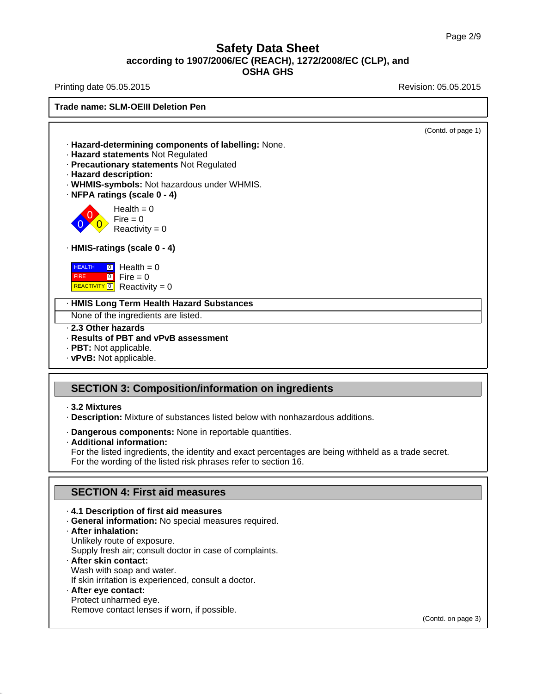Printing date 05.05.2015 **Revision: 05.05.2015** Revision: 05.05.2015

**Trade name: SLM-OEIII Deletion Pen**

(Contd. of page 1) · **Hazard-determining components of labelling:** None. · **Hazard statements** Not Regulated · **Precautionary statements** Not Regulated · **Hazard description:** · **WHMIS-symbols:** Not hazardous under WHMIS. · **NFPA ratings (scale 0 - 4)** 0 0  $\overline{\mathbf{0}}$  $Health = 0$  $Fire = 0$  $Reactivity = 0$ · **HMIS-ratings (scale 0 - 4) HEALTH**  FIRE REACTIVITY<sup>O</sup> Reactivity = 0 <mark>া</mark> Health = 0  $\frac{1}{2}$  Fire = 0 · **HMIS Long Term Health Hazard Substances** None of the ingredients are listed. · **2.3 Other hazards** · **Results of PBT and vPvB assessment** · **PBT:** Not applicable.

· **vPvB:** Not applicable.

## **SECTION 3: Composition/information on ingredients**

- · **3.2 Mixtures**
- · **Description:** Mixture of substances listed below with nonhazardous additions.
- · **Dangerous components:** None in reportable quantities.
- · **Additional information:**

For the listed ingredients, the identity and exact percentages are being withheld as a trade secret. For the wording of the listed risk phrases refer to section 16.

## **SECTION 4: First aid measures**

#### · **4.1 Description of first aid measures**

· **General information:** No special measures required.

#### · **After inhalation:**

Unlikely route of exposure.

Supply fresh air; consult doctor in case of complaints.

#### · **After skin contact:** Wash with soap and water.

If skin irritation is experienced, consult a doctor.

#### · **After eye contact:**

Protect unharmed eye.

Remove contact lenses if worn, if possible.

(Contd. on page 3)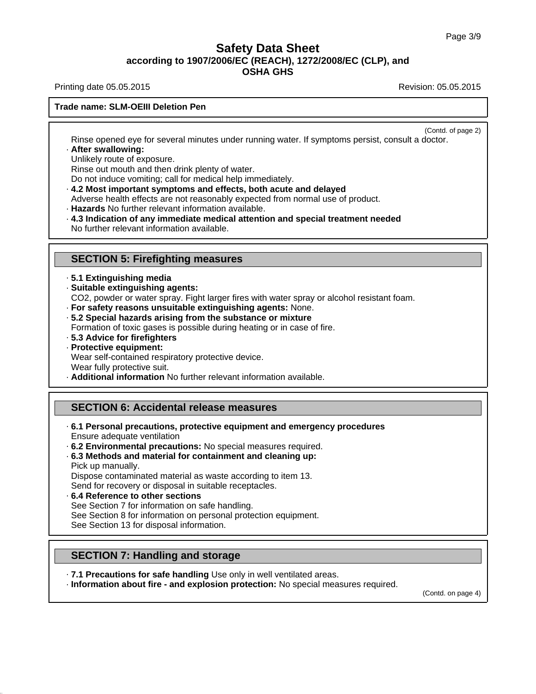Printing date 05.05.2015 **Revision: 05.05.2015** Revision: 05.05.2015

#### **Trade name: SLM-OEIII Deletion Pen**

(Contd. of page 2)

Rinse opened eye for several minutes under running water. If symptoms persist, consult a doctor. · **After swallowing:**

Unlikely route of exposure.

Rinse out mouth and then drink plenty of water.

Do not induce vomiting; call for medical help immediately.

- · **4.2 Most important symptoms and effects, both acute and delayed**
- Adverse health effects are not reasonably expected from normal use of product.
- · **Hazards** No further relevant information available.
- · **4.3 Indication of any immediate medical attention and special treatment needed** No further relevant information available.

#### **SECTION 5: Firefighting measures**

- · **5.1 Extinguishing media**
- · **Suitable extinguishing agents:**
- CO2, powder or water spray. Fight larger fires with water spray or alcohol resistant foam.
- · **For safety reasons unsuitable extinguishing agents:** None.
- · **5.2 Special hazards arising from the substance or mixture**
- Formation of toxic gases is possible during heating or in case of fire.
- · **5.3 Advice for firefighters**
- · **Protective equipment:** Wear self-contained respiratory protective device. Wear fully protective suit.
- · **Additional information** No further relevant information available.

## **SECTION 6: Accidental release measures**

- · **6.1 Personal precautions, protective equipment and emergency procedures** Ensure adequate ventilation
- · **6.2 Environmental precautions:** No special measures required.
- · **6.3 Methods and material for containment and cleaning up:**

Pick up manually. Dispose contaminated material as waste according to item 13. Send for recovery or disposal in suitable receptacles.

- · **6.4 Reference to other sections**
- See Section 7 for information on safe handling. See Section 8 for information on personal protection equipment. See Section 13 for disposal information.

#### **SECTION 7: Handling and storage**

· **7.1 Precautions for safe handling** Use only in well ventilated areas.

· **Information about fire - and explosion protection:** No special measures required.

(Contd. on page 4)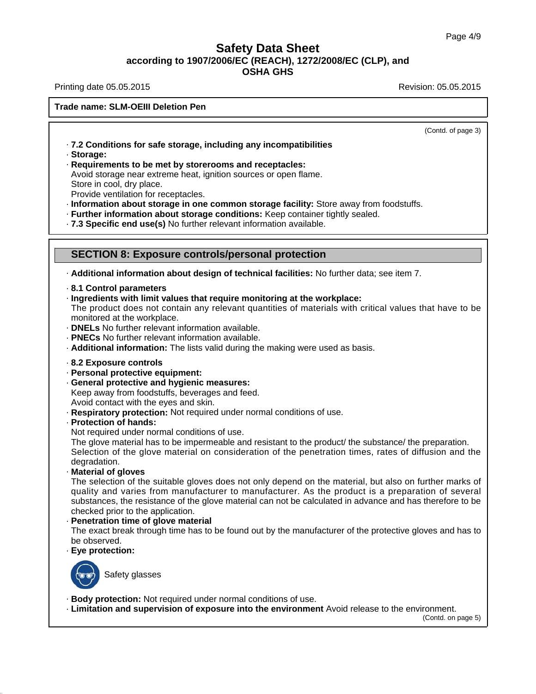Printing date 05.05.2015 **Revision: 05.05.2015** Revision: 05.05.2015

#### **Trade name: SLM-OEIII Deletion Pen**

(Contd. of page 3)

- · **7.2 Conditions for safe storage, including any incompatibilities**
- · **Storage:**
- · **Requirements to be met by storerooms and receptacles:**
- Avoid storage near extreme heat, ignition sources or open flame. Store in cool, dry place.

Provide ventilation for receptacles.

- · **Information about storage in one common storage facility:** Store away from foodstuffs.
- · **Further information about storage conditions:** Keep container tightly sealed.
- · **7.3 Specific end use(s)** No further relevant information available.

### **SECTION 8: Exposure controls/personal protection**

· **Additional information about design of technical facilities:** No further data; see item 7.

- · **8.1 Control parameters**
- · **Ingredients with limit values that require monitoring at the workplace:**

The product does not contain any relevant quantities of materials with critical values that have to be monitored at the workplace.

- · **DNELs** No further relevant information available.
- · **PNECs** No further relevant information available.
- · **Additional information:** The lists valid during the making were used as basis.
- · **8.2 Exposure controls**
- · **Personal protective equipment:**
- · **General protective and hygienic measures:**

Keep away from foodstuffs, beverages and feed.

Avoid contact with the eyes and skin.

- · **Respiratory protection:** Not required under normal conditions of use.
- · **Protection of hands:**
- Not required under normal conditions of use.

The glove material has to be impermeable and resistant to the product/ the substance/ the preparation. Selection of the glove material on consideration of the penetration times, rates of diffusion and the degradation.

· **Material of gloves**

The selection of the suitable gloves does not only depend on the material, but also on further marks of quality and varies from manufacturer to manufacturer. As the product is a preparation of several substances, the resistance of the glove material can not be calculated in advance and has therefore to be checked prior to the application.

#### · **Penetration time of glove material**

The exact break through time has to be found out by the manufacturer of the protective gloves and has to be observed.

· **Eye protection:**



Safety glasses

· **Body protection:** Not required under normal conditions of use.

· **Limitation and supervision of exposure into the environment** Avoid release to the environment.

(Contd. on page 5)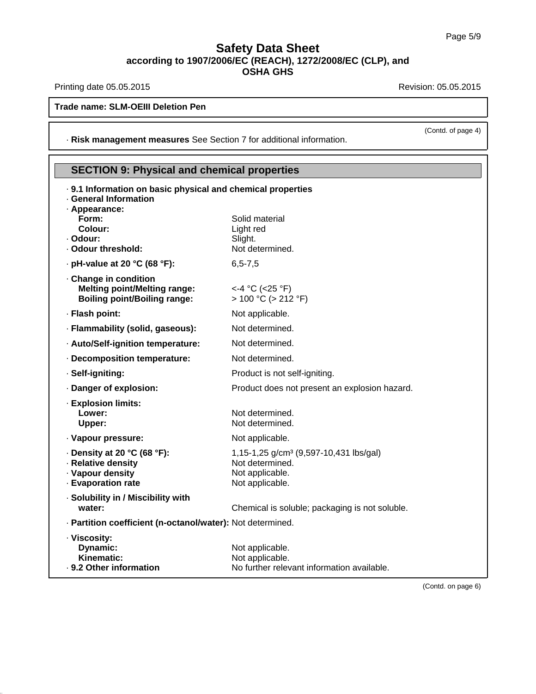Printing date 05.05.2015 **Revision: 05.05.2015** 

**Trade name: SLM-OEIII Deletion Pen**

· **Risk management measures** See Section 7 for additional information.

# **SECTION 9: Physical and chemical properties**

| . 9.1 Information on basic physical and chemical properties<br>· General Information<br>· Appearance: |                                                                       |
|-------------------------------------------------------------------------------------------------------|-----------------------------------------------------------------------|
| Form:                                                                                                 | Solid material                                                        |
| Colour:<br>- Odour:                                                                                   | Light red<br>Slight.                                                  |
| · Odour threshold:                                                                                    | Not determined.                                                       |
| $\cdot$ pH-value at 20 °C (68 °F):                                                                    | $6, 5 - 7, 5$                                                         |
| Change in condition<br><b>Melting point/Melting range:</b><br><b>Boiling point/Boiling range:</b>     | <-4 °C (<25 °F)<br>$> 100 °C$ ( $> 212 °F$ )                          |
| · Flash point:                                                                                        | Not applicable.                                                       |
| · Flammability (solid, gaseous):                                                                      | Not determined.                                                       |
| · Auto/Self-ignition temperature:                                                                     | Not determined.                                                       |
| - Decomposition temperature:                                                                          | Not determined.                                                       |
| · Self-igniting:                                                                                      | Product is not self-igniting.                                         |
| · Danger of explosion:                                                                                | Product does not present an explosion hazard.                         |
| · Explosion limits:                                                                                   |                                                                       |
| Lower:<br>Upper:                                                                                      | Not determined.<br>Not determined.                                    |
|                                                                                                       |                                                                       |
| · Vapour pressure:                                                                                    | Not applicable.                                                       |
| $\cdot$ Density at 20 °C (68 °F):<br>· Relative density                                               | 1,15-1,25 g/cm <sup>3</sup> (9,597-10,431 lbs/gal)<br>Not determined. |
| · Vapour density                                                                                      | Not applicable.                                                       |
| - Evaporation rate                                                                                    | Not applicable.                                                       |
| · Solubility in / Miscibility with                                                                    |                                                                       |
| water:                                                                                                | Chemical is soluble; packaging is not soluble.                        |
| · Partition coefficient (n-octanol/water): Not determined.                                            |                                                                       |
| · Viscosity:                                                                                          |                                                                       |
| Dynamic:<br>Kinematic:                                                                                | Not applicable.<br>Not applicable.                                    |
| . 9.2 Other information                                                                               | No further relevant information available.                            |
|                                                                                                       |                                                                       |

(Contd. of page 4)

(Contd. on page 6)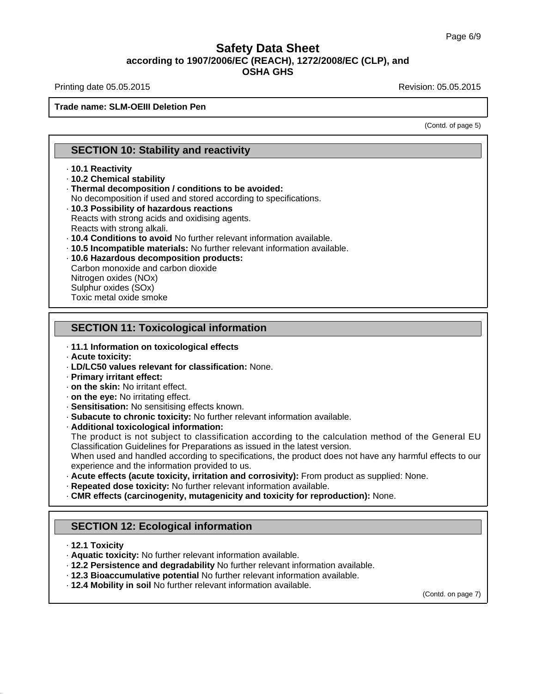Printing date 05.05.2015 **Revision: 05.05.2015** Revision: 05.05.2015

#### **Trade name: SLM-OEIII Deletion Pen**

(Contd. of page 5)

## **SECTION 10: Stability and reactivity**

#### · **10.1 Reactivity**

- · **10.2 Chemical stability**
- · **Thermal decomposition / conditions to be avoided:**
- No decomposition if used and stored according to specifications.
- · **10.3 Possibility of hazardous reactions**
- Reacts with strong acids and oxidising agents. Reacts with strong alkali.
- 
- · **10.4 Conditions to avoid** No further relevant information available.
- · **10.5 Incompatible materials:** No further relevant information available.
- · **10.6 Hazardous decomposition products:**

Carbon monoxide and carbon dioxide Nitrogen oxides (NOx) Sulphur oxides (SOx) Toxic metal oxide smoke

### **SECTION 11: Toxicological information**

#### · **11.1 Information on toxicological effects**

- · **Acute toxicity:**
- · **LD/LC50 values relevant for classification:** None.
- · **Primary irritant effect:**
- · **on the skin:** No irritant effect.
- · **on the eye:** No irritating effect.
- · **Sensitisation:** No sensitising effects known.
- · **Subacute to chronic toxicity:** No further relevant information available.
- · **Additional toxicological information:**

The product is not subject to classification according to the calculation method of the General EU Classification Guidelines for Preparations as issued in the latest version.

When used and handled according to specifications, the product does not have any harmful effects to our experience and the information provided to us.

- · **Acute effects (acute toxicity, irritation and corrosivity):** From product as supplied: None.
- · **Repeated dose toxicity:** No further relevant information available.
- · **CMR effects (carcinogenity, mutagenicity and toxicity for reproduction):** None.

## **SECTION 12: Ecological information**

- · **12.1 Toxicity**
- · **Aquatic toxicity:** No further relevant information available.
- · **12.2 Persistence and degradability** No further relevant information available.
- · **12.3 Bioaccumulative potential** No further relevant information available.
- · **12.4 Mobility in soil** No further relevant information available.

(Contd. on page 7)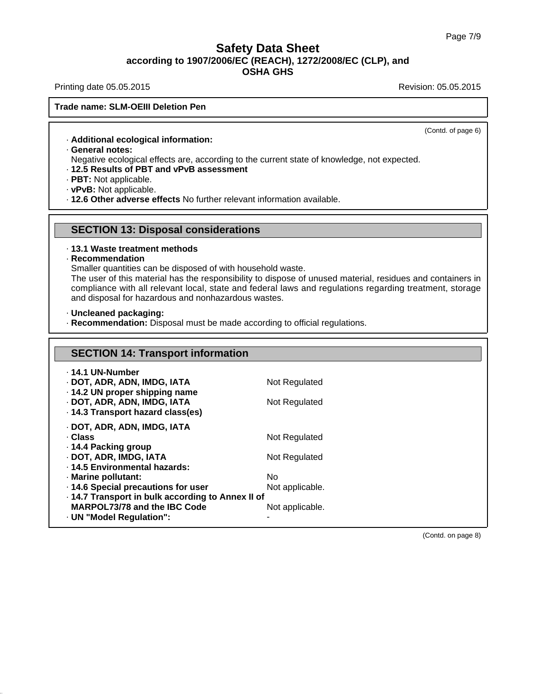Printing date 05.05.2015 **Printing date 05.05.2015** 

#### **Trade name: SLM-OEIII Deletion Pen**

(Contd. of page 6)

· **Additional ecological information:**

· **General notes:**

Negative ecological effects are, according to the current state of knowledge, not expected.

- · **12.5 Results of PBT and vPvB assessment**
- · **PBT:** Not applicable.
- · **vPvB:** Not applicable.

· **12.6 Other adverse effects** No further relevant information available.

#### **SECTION 13: Disposal considerations**

# · **13.1 Waste treatment methods**

· **Recommendation**

Smaller quantities can be disposed of with household waste.

The user of this material has the responsibility to dispose of unused material, residues and containers in compliance with all relevant local, state and federal laws and regulations regarding treatment, storage and disposal for hazardous and nonhazardous wastes.

· **Uncleaned packaging:**

· **Recommendation:** Disposal must be made according to official regulations.

| <b>SECTION 14: Transport information</b>          |                 |  |
|---------------------------------------------------|-----------------|--|
| ⋅ 14.1 UN-Number                                  |                 |  |
| · DOT, ADR, ADN, IMDG, IATA                       | Not Regulated   |  |
| · 14.2 UN proper shipping name                    |                 |  |
| · DOT, ADR, ADN, IMDG, IATA                       | Not Regulated   |  |
| · 14.3 Transport hazard class(es)                 |                 |  |
| · DOT, ADR, ADN, IMDG, IATA                       |                 |  |
| · Class                                           | Not Regulated   |  |
| ⋅ 14.4 Packing group                              |                 |  |
| · DOT, ADR, IMDG, IATA                            | Not Regulated   |  |
| . 14.5 Environmental hazards:                     |                 |  |
| · Marine pollutant:                               | No.             |  |
| · 14.6 Special precautions for user               | Not applicable. |  |
| · 14.7 Transport in bulk according to Annex II of |                 |  |
| MARPOL73/78 and the IBC Code                      | Not applicable. |  |
| · UN "Model Regulation":                          |                 |  |

(Contd. on page 8)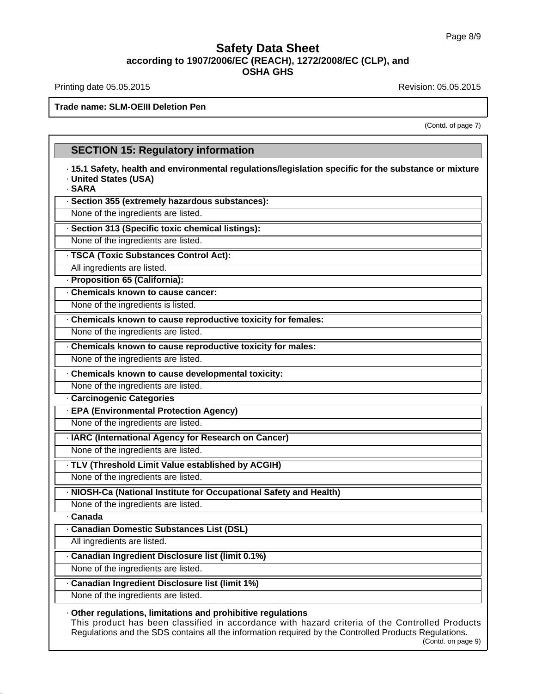Printing date 05.05.2015 **Revision: 05.05.2015** Revision: 05.05.2015

**Trade name: SLM-OEIII Deletion Pen**

(Contd. of page 7)

# **SECTION 15: Regulatory information** · **15.1 Safety, health and environmental regulations/legislation specific for the substance or mixture** · **United States (USA)** · **SARA** · **Section 355 (extremely hazardous substances):** None of the ingredients are listed. · **Section 313 (Specific toxic chemical listings):** None of the ingredients are listed. · **TSCA (Toxic Substances Control Act):** All ingredients are listed. · **Proposition 65 (California):** · **Chemicals known to cause cancer:** None of the ingredients is listed. · **Chemicals known to cause reproductive toxicity for females:** None of the ingredients are listed. · **Chemicals known to cause reproductive toxicity for males:** None of the ingredients are listed. · **Chemicals known to cause developmental toxicity:** None of the ingredients are listed. · **Carcinogenic Categories** · **EPA (Environmental Protection Agency)** None of the ingredients are listed. · **IARC (International Agency for Research on Cancer)** None of the ingredients are listed. · **TLV (Threshold Limit Value established by ACGIH)** None of the ingredients are listed. · **NIOSH-Ca (National Institute for Occupational Safety and Health)** None of the ingredients are listed. · **Canada** · **Canadian Domestic Substances List (DSL)** All ingredients are listed. · **Canadian Ingredient Disclosure list (limit 0.1%)** None of the ingredients are listed. · **Canadian Ingredient Disclosure list (limit 1%)** None of the ingredients are listed. · **Other regulations, limitations and prohibitive regulations** This product has been classified in accordance with hazard criteria of the Controlled Products

Regulations and the SDS contains all the information required by the Controlled Products Regulations. (Contd. on page 9)